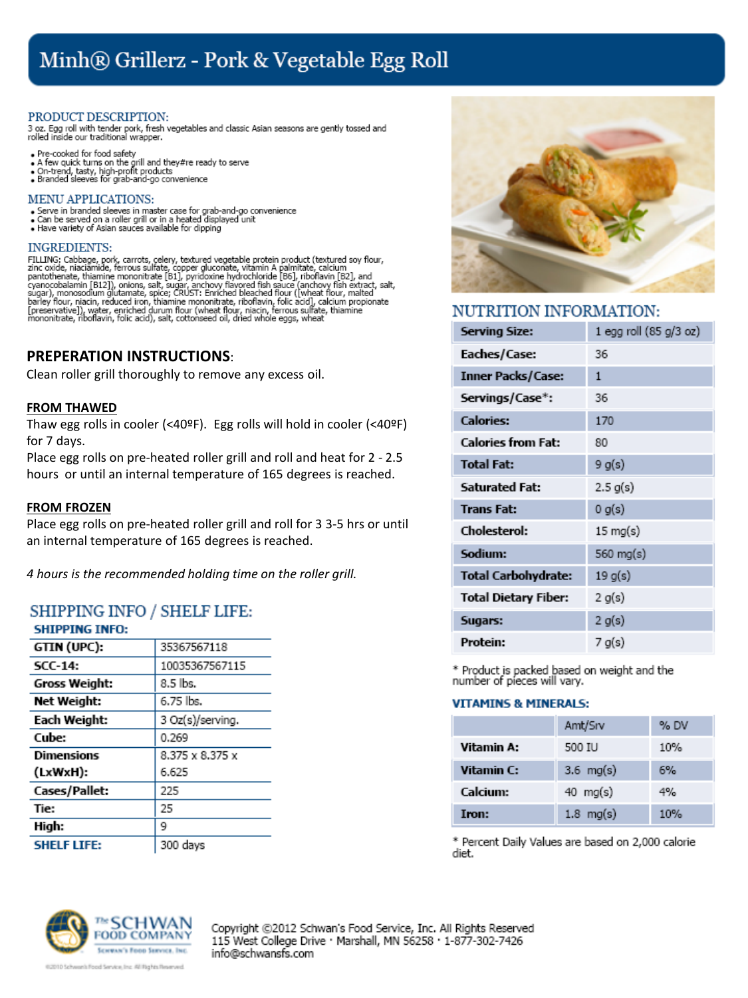# Minh® Grillerz - Pork & Vegetable Egg Roll

## PRODUCT DESCRIPTION:

3 oz. Egg roll with tender pork, fresh vegetables and classic Asian seasons are gently tossed and<br>rolled inside our traditional wrapper.

- . Pre-cooked for food safety
- A few quick turns on the grill and they#re ready to serve<br>• A few quick turns on the grill and they#re ready to serve<br>• Branded sleeves for grab-and-go convenience
- 

## **MENU APPLICATIONS:**

- Serve in branded sleeves in master case for grab-and-go convenience<br>• Can be served on a roller grill or in a heated displayed unit
- . Have variety of Asian sauces available for dipping

## **INGREDIENTS:**

FILLING: Cabbage, pork, carrots, celery, textured vegetable protein product (textured soy flour, zinc oxide, niaciamide, ferrous sulfate, copper gluconate, vitamin A palmitate, calcium pantothenate, thiamine mononitrate [8

## **PREPERATION INSTRUCTIONS**:

Clean roller grill thoroughly to remove any excess oil.

## **FROM THAWED**

Thaw egg rolls in cooler (<40ºF). Egg rolls will hold in cooler (<40ºF) for 7 days.

Place egg rolls on pre-heated roller grill and roll and heat for 2 - 2.5 hours or until an internal temperature of 165 degrees is reached.

## **FROM FROZEN**

Place egg rolls on pre-heated roller grill and roll for 3 3-5 hrs or until an internal temperature of 165 degrees is reached.

*4 hours is the recommended holding time on the roller grill.*

## **SHIPPING INFO / SHELF LIFE:** CHTDDTNC TNEO-

| эпіргіімэ пуго.    |                  |
|--------------------|------------------|
| GTIN (UPC):        | 35367567118      |
| $SCC-14$ :         | 10035367567115   |
| Gross Weight:      | 8.5 lbs.         |
| Net Weight:        | 6.75 lbs.        |
| Each Weight:       | 3 Oz(s)/serving. |
| Cube:              | 0.269            |
| Dimensions         | 8.375 x 8.375 x  |
| (LxWxH):           | 6.625            |
| Cases/Pallet:      | 225              |
| Tie:               | 25               |
| High:              | 9                |
| <b>SHELF LIFE:</b> | 300 days         |

## NUTRITION INFORMATION:

| <b>Serving Size:</b>        | 1 egg roll (85 g/3 oz) |
|-----------------------------|------------------------|
| Eaches/Case:                | 36                     |
| <b>Inner Packs/Case:</b>    | $\mathbf{1}$           |
| Servings/Case*:             | 36                     |
| <b>Calories:</b>            | 170                    |
| <b>Calories from Fat:</b>   | 80                     |
| <b>Total Fat:</b>           | 9 g(s)                 |
| <b>Saturated Fat:</b>       | $2.5 \text{ g(s)}$     |
| <b>Trans Fat:</b>           | 0 g(s)                 |
| Cholesterol:                | $15 \text{ mg(s)}$     |
| Sodium:                     | 560 mg(s)              |
| <b>Total Carbohydrate:</b>  | 19 g(s)                |
| <b>Total Dietary Fiber:</b> | 2 g(s)                 |
| Sugars:                     | 2 g(s)                 |
| Protein:                    | 7 g(s)                 |

\* Product is packed based on weight and the number of pieces will vary.

## **VITAMINS & MINERALS:**

|            | Amt/Srv              | % DV |
|------------|----------------------|------|
| Vitamin A: | 500 IU               | 10%  |
| Vitamin C: | $3.6 \text{ mag(s)}$ | 6%   |
| Calcium:   | 40 mg(s)             | 4%   |
| Iron:      | $1.8 \text{ mg(s)}$  | 10%  |

\* Percent Daily Values are based on 2,000 calorie diet.



Copyright @2012 Schwan's Food Service, Inc. All Rights Reserved 115 West College Drive · Marshall, MN 56258 · 1-877-302-7426 info@schwansfs.com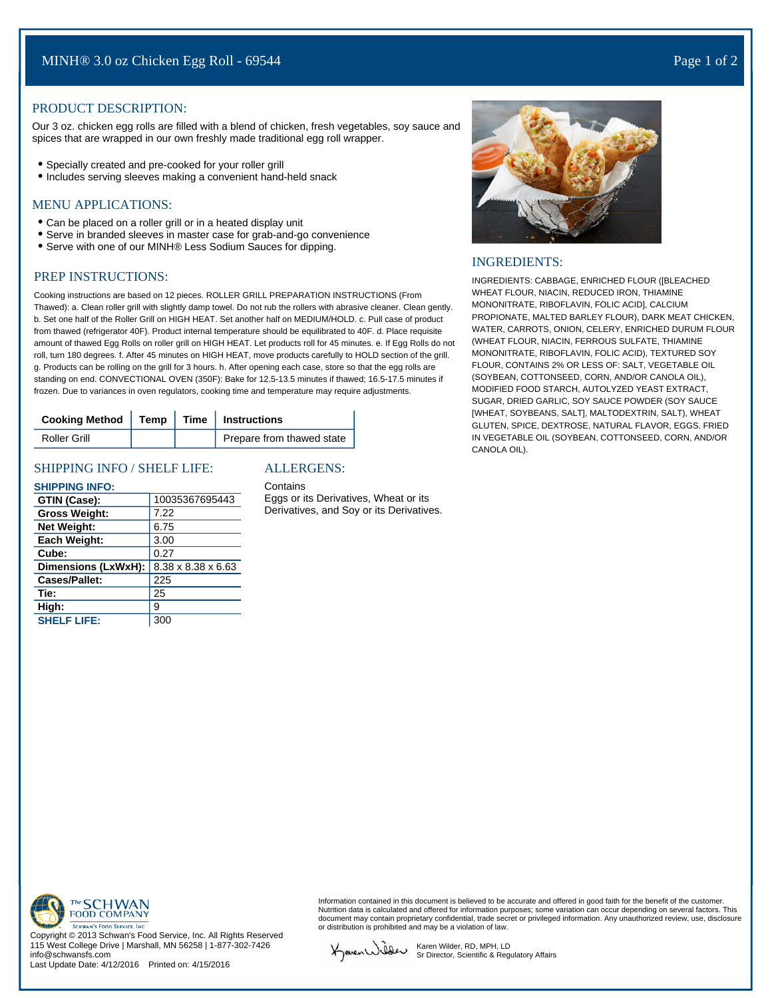## PRODUCT DESCRIPTION:

Our 3 oz. chicken egg rolls are filled with a blend of chicken, fresh vegetables, soy sauce and spices that are wrapped in our own freshly made traditional egg roll wrapper.

- Specially created and pre-cooked for your roller grill
- Includes serving sleeves making a convenient hand-held snack

## MENU APPLICATIONS:

- Can be placed on a roller grill or in a heated display unit
- Serve in branded sleeves in master case for grab-and-go convenience
- Serve with one of our MINH® Less Sodium Sauces for dipping.

## PREP INSTRUCTIONS:

Cooking instructions are based on 12 pieces. ROLLER GRILL PREPARATION INSTRUCTIONS (From Thawed): a. Clean roller grill with slightly damp towel. Do not rub the rollers with abrasive cleaner. Clean gently. b. Set one half of the Roller Grill on HIGH HEAT. Set another half on MEDIUM/HOLD. c. Pull case of product from thawed (refrigerator 40F). Product internal temperature should be equilibrated to 40F. d. Place requisite amount of thawed Egg Rolls on roller grill on HIGH HEAT. Let products roll for 45 minutes. e. If Egg Rolls do not roll, turn 180 degrees. f. After 45 minutes on HIGH HEAT, move products carefully to HOLD section of the grill. g. Products can be rolling on the grill for 3 hours. h. After opening each case, store so that the egg rolls are standing on end. CONVECTIONAL OVEN (350F): Bake for 12.5-13.5 minutes if thawed; 16.5-17.5 minutes if frozen. Due to variances in oven regulators, cooking time and temperature may require adjustments.

| Cooking Method   Temp   Time   Instructions |  |                           |
|---------------------------------------------|--|---------------------------|
| Roller Grill                                |  | Prepare from thawed state |

### SHIPPING INFO / SHELF LIFE:

#### **SHIPPING INFO:**

| GTIN (Case):         | 10035367695443                 |
|----------------------|--------------------------------|
| <b>Gross Weight:</b> | 7.22                           |
| <b>Net Weight:</b>   | 6.75                           |
| Each Weight:         | 3.00                           |
| Cube:                | 0.27                           |
| Dimensions (LxWxH):  | $8.38 \times 8.38 \times 6.63$ |
| <b>Cases/Pallet:</b> | 225                            |
| Tie:                 | 25                             |
| High:                | 9                              |
| <b>SHELF LIFE:</b>   | 300                            |

## ALLERGENS:

Contains

Eggs or its Derivatives, Wheat or its Derivatives, and Soy or its Derivatives.



#### INGREDIENTS:

INGREDIENTS: CABBAGE, ENRICHED FLOUR ([BLEACHED WHEAT FLOUR, NIACIN, REDUCED IRON, THIAMINE MONONITRATE, RIBOFLAVIN, FOLIC ACID], CALCIUM PROPIONATE, MALTED BARLEY FLOUR), DARK MEAT CHICKEN, WATER, CARROTS, ONION, CELERY, ENRICHED DURUM FLOUR (WHEAT FLOUR, NIACIN, FERROUS SULFATE, THIAMINE MONONITRATE, RIBOFLAVIN, FOLIC ACID), TEXTURED SOY FLOUR, CONTAINS 2% OR LESS OF: SALT, VEGETABLE OIL (SOYBEAN, COTTONSEED, CORN, AND/OR CANOLA OIL), MODIFIED FOOD STARCH, AUTOLYZED YEAST EXTRACT, SUGAR, DRIED GARLIC, SOY SAUCE POWDER (SOY SAUCE [WHEAT, SOYBEANS, SALT], MALTODEXTRIN, SALT), WHEAT GLUTEN, SPICE, DEXTROSE, NATURAL FLAVOR, EGGS. FRIED IN VEGETABLE OIL (SOYBEAN, COTTONSEED, CORN, AND/OR CANOLA OIL).



Copyright © 2013 Schwan's Food Service, Inc. All Rights Reserved 115 West College Drive | Marshall, MN 56258 | 1-877-302-7426 info@schwansfs.com

Last Update Date: 4/12/2016 Printed on: 4/15/2016

Information contained in this document is believed to be accurate and offered in good faith for the benefit of the customer Nutrition data is calculated and offered for information purposes; some variation can occur depending on several factors. This document may contain proprietary confidential, trade secret or privileged information. Any unauthorized review, use, disclosure or distribution is prohibited and may be a violation of law.

KavenWider

Karen Wilder, RD, MPH, LD Sr Director, Scientific & Regulatory Affairs